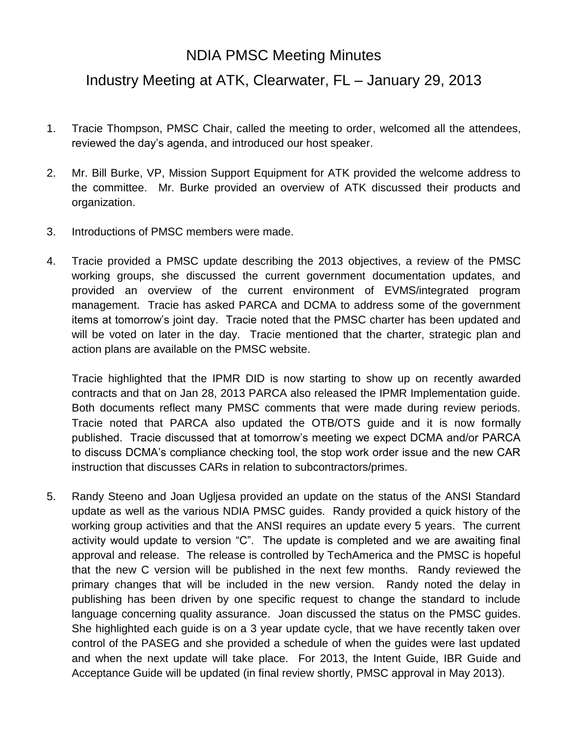## NDIA PMSC Meeting Minutes

## Industry Meeting at ATK, Clearwater, FL – January 29, 2013

- 1. Tracie Thompson, PMSC Chair, called the meeting to order, welcomed all the attendees, reviewed the day's agenda, and introduced our host speaker.
- 2. Mr. Bill Burke, VP, Mission Support Equipment for ATK provided the welcome address to the committee. Mr. Burke provided an overview of ATK discussed their products and organization.
- 3. Introductions of PMSC members were made.
- 4. Tracie provided a PMSC update describing the 2013 objectives, a review of the PMSC working groups, she discussed the current government documentation updates, and provided an overview of the current environment of EVMS/integrated program management. Tracie has asked PARCA and DCMA to address some of the government items at tomorrow's joint day. Tracie noted that the PMSC charter has been updated and will be voted on later in the day. Tracie mentioned that the charter, strategic plan and action plans are available on the PMSC website.

Tracie highlighted that the IPMR DID is now starting to show up on recently awarded contracts and that on Jan 28, 2013 PARCA also released the IPMR Implementation guide. Both documents reflect many PMSC comments that were made during review periods. Tracie noted that PARCA also updated the OTB/OTS guide and it is now formally published. Tracie discussed that at tomorrow's meeting we expect DCMA and/or PARCA to discuss DCMA's compliance checking tool, the stop work order issue and the new CAR instruction that discusses CARs in relation to subcontractors/primes.

5. Randy Steeno and Joan Ugljesa provided an update on the status of the ANSI Standard update as well as the various NDIA PMSC guides. Randy provided a quick history of the working group activities and that the ANSI requires an update every 5 years. The current activity would update to version "C". The update is completed and we are awaiting final approval and release. The release is controlled by TechAmerica and the PMSC is hopeful that the new C version will be published in the next few months. Randy reviewed the primary changes that will be included in the new version. Randy noted the delay in publishing has been driven by one specific request to change the standard to include language concerning quality assurance. Joan discussed the status on the PMSC guides. She highlighted each guide is on a 3 year update cycle, that we have recently taken over control of the PASEG and she provided a schedule of when the guides were last updated and when the next update will take place. For 2013, the Intent Guide, IBR Guide and Acceptance Guide will be updated (in final review shortly, PMSC approval in May 2013).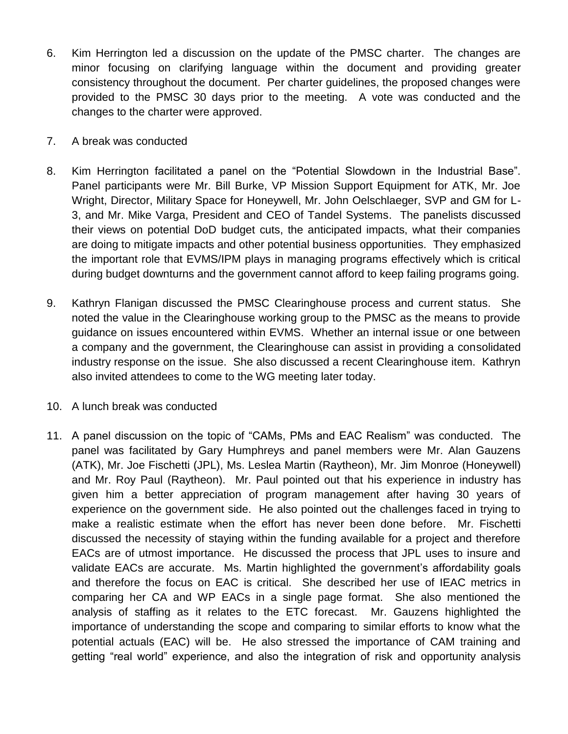- 6. Kim Herrington led a discussion on the update of the PMSC charter. The changes are minor focusing on clarifying language within the document and providing greater consistency throughout the document. Per charter guidelines, the proposed changes were provided to the PMSC 30 days prior to the meeting. A vote was conducted and the changes to the charter were approved.
- 7. A break was conducted
- 8. Kim Herrington facilitated a panel on the "Potential Slowdown in the Industrial Base". Panel participants were Mr. Bill Burke, VP Mission Support Equipment for ATK, Mr. Joe Wright, Director, Military Space for Honeywell, Mr. John Oelschlaeger, SVP and GM for L-3, and Mr. Mike Varga, President and CEO of Tandel Systems. The panelists discussed their views on potential DoD budget cuts, the anticipated impacts, what their companies are doing to mitigate impacts and other potential business opportunities. They emphasized the important role that EVMS/IPM plays in managing programs effectively which is critical during budget downturns and the government cannot afford to keep failing programs going.
- 9. Kathryn Flanigan discussed the PMSC Clearinghouse process and current status. She noted the value in the Clearinghouse working group to the PMSC as the means to provide guidance on issues encountered within EVMS. Whether an internal issue or one between a company and the government, the Clearinghouse can assist in providing a consolidated industry response on the issue. She also discussed a recent Clearinghouse item. Kathryn also invited attendees to come to the WG meeting later today.
- 10. A lunch break was conducted
- 11. A panel discussion on the topic of "CAMs, PMs and EAC Realism" was conducted. The panel was facilitated by Gary Humphreys and panel members were Mr. Alan Gauzens (ATK), Mr. Joe Fischetti (JPL), Ms. Leslea Martin (Raytheon), Mr. Jim Monroe (Honeywell) and Mr. Roy Paul (Raytheon). Mr. Paul pointed out that his experience in industry has given him a better appreciation of program management after having 30 years of experience on the government side. He also pointed out the challenges faced in trying to make a realistic estimate when the effort has never been done before. Mr. Fischetti discussed the necessity of staying within the funding available for a project and therefore EACs are of utmost importance. He discussed the process that JPL uses to insure and validate EACs are accurate. Ms. Martin highlighted the government's affordability goals and therefore the focus on EAC is critical. She described her use of IEAC metrics in comparing her CA and WP EACs in a single page format. She also mentioned the analysis of staffing as it relates to the ETC forecast. Mr. Gauzens highlighted the importance of understanding the scope and comparing to similar efforts to know what the potential actuals (EAC) will be. He also stressed the importance of CAM training and getting "real world" experience, and also the integration of risk and opportunity analysis